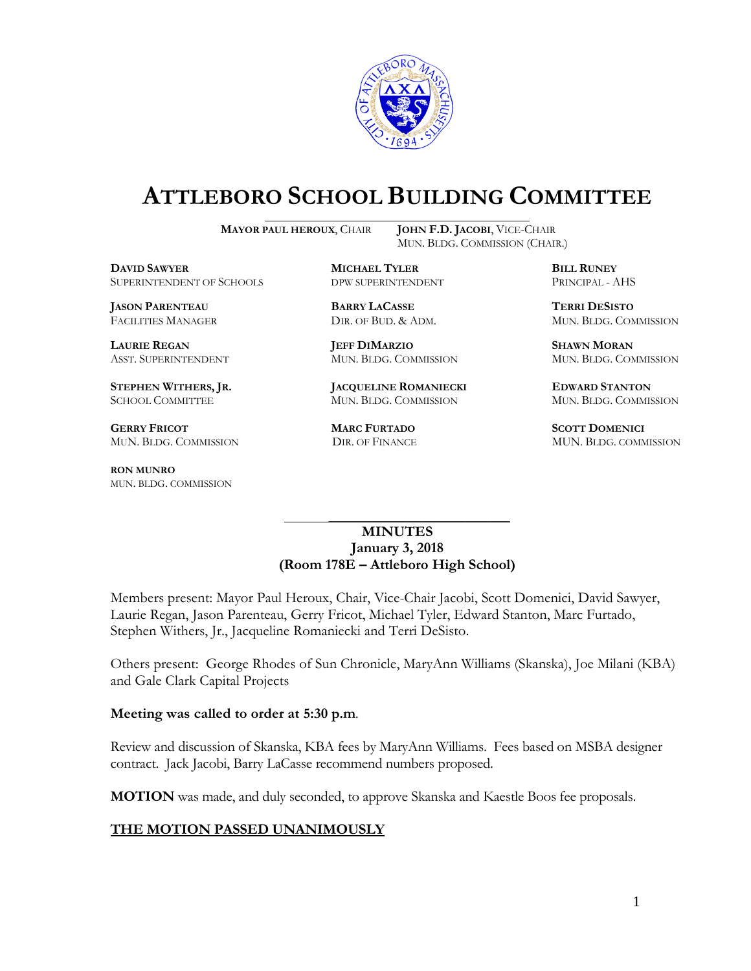

# **ATTLEBORO SCHOOL BUILDING COMMITTEE**

**MAYOR PAUL HEROUX**, CHAIR **JOHN F.D. JACOBI**, VICE-CHAIR

MUN. BLDG. COMMISSION (CHAIR.)

**DAVID SAWYER MICHAEL TYLER BILL RUNEY** SUPERINTENDENT OF SCHOOLS DPW SUPERINTENDENT PRINCIPAL - AHS

**JASON PARENTEAU BARRY LACASSE TERRI DESISTO**

**GERRY FRICOT MARC FURTADO SCOTT DOMENICI** 

**RON MUNRO** MUN. BLDG. COMMISSION

**LAURIE REGAN JEFF DIMARZIO SHAWN MORAN**

**STEPHEN WITHERS, JR. JACQUELINE ROMANIECKI EDWARD STANTON** SCHOOL COMMITTEE MUN. BLDG. COMMISSION MUN. BLDG. COMMISSION

FACILITIES MANAGER DIR. OF BUD. & ADM. MUN. BLDG. COMMISSION

ASST. SUPERINTENDENT MUN. BLDG. COMMISSION MUN. BLDG. COMMISSION

MUN. BLDG. COMMISSION DIR. OF FINANCE MUN. BLDG. COMMISSION

#### **MINUTES January 3, 2018 (Room 178E – Attleboro High School)**

\_\_\_\_\_\_\_\_\_\_\_\_\_\_\_\_\_\_\_\_\_\_\_\_\_\_\_\_\_\_\_\_\_\_\_\_\_

Members present: Mayor Paul Heroux, Chair, Vice-Chair Jacobi, Scott Domenici, David Sawyer, Laurie Regan, Jason Parenteau, Gerry Fricot, Michael Tyler, Edward Stanton, Marc Furtado, Stephen Withers, Jr., Jacqueline Romaniecki and Terri DeSisto.

Others present: George Rhodes of Sun Chronicle, MaryAnn Williams (Skanska), Joe Milani (KBA) and Gale Clark Capital Projects

#### **Meeting was called to order at 5:30 p.m**.

Review and discussion of Skanska, KBA fees by MaryAnn Williams. Fees based on MSBA designer contract. Jack Jacobi, Barry LaCasse recommend numbers proposed.

**MOTION** was made, and duly seconded, to approve Skanska and Kaestle Boos fee proposals.

### **THE MOTION PASSED UNANIMOUSLY**